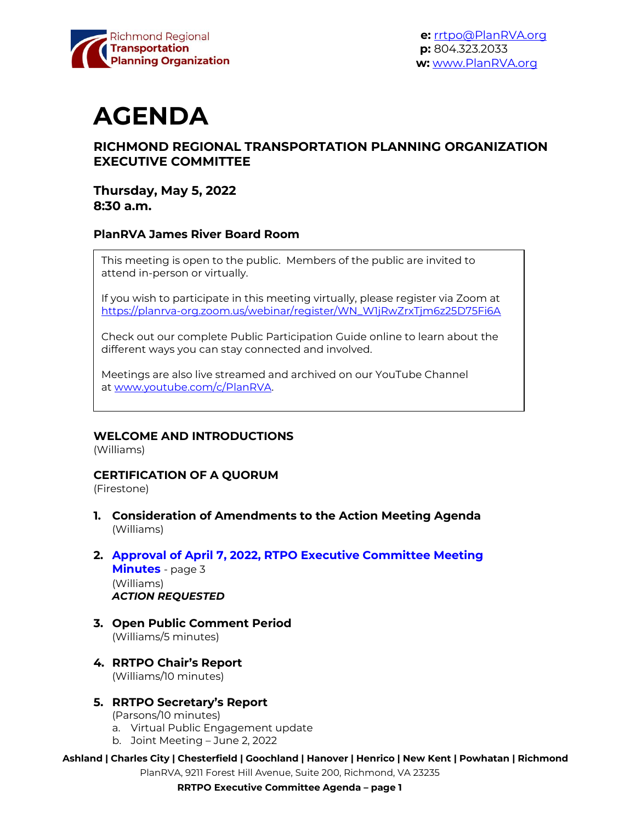

**e:** [rrtpo@PlanRVA.org](mailto:rrtpo@PlanRVA.org) **p:** 804.323.2033 **w:** [www.PlanRVA.org](http://www.planrva.org/)

# **AGENDA**

# **RICHMOND REGIONAL TRANSPORTATION PLANNING ORGANIZATION EXECUTIVE COMMITTEE**

#### **Thursday, May 5, 2022 8:30 a.m.**

#### **PlanRVA James River Board Room**

This meeting is open to the public. Members of the public are invited to attend in-person or virtually.

If you wish to participate in this meeting virtually, please register via Zoom at [https://planrva-org.zoom.us/webinar/register/WN\\_W1jRwZrxTjm6z25D75Fi6A](https://planrva-org.zoom.us/webinar/register/WN_W1jRwZrxTjm6z25D75Fi6A)

Check out our complete Public Participation Guide online to learn about the different ways you can stay connected and involved.

Meetings are also live streamed and archived on our YouTube Channel at [www.youtube.com/c/PlanRVA.](http://www.youtube.com/c/PlanRVA)

#### **WELCOME AND INTRODUCTIONS**

(Williams)

#### **CERTIFICATION OF A QUORUM**

(Firestone)

- **1. Consideration of Amendments to the Action Meeting Agenda** (Williams)
- **2. Approval of April 7, 2022, RTPO Executive Committee Meeting Minutes** - page 3 (Williams) *ACTION REQUESTED*
- **3. Open Public Comment Period** (Williams/5 minutes)
- **4. RRTPO Chair's Report** (Williams/10 minutes)

#### **5. RRTPO Secretary's Report**

- (Parsons/10 minutes)
- a. Virtual Public Engagement update
- b. Joint Meeting June 2, 2022
- **Ashland | Charles City | Chesterfield | Goochland | Hanover | Henrico | New Kent | Powhatan | Richmond**

PlanRVA, 9211 Forest Hill Avenue, Suite 200, Richmond, VA 23235

**RRTPO Executive Committee Agenda – page 1**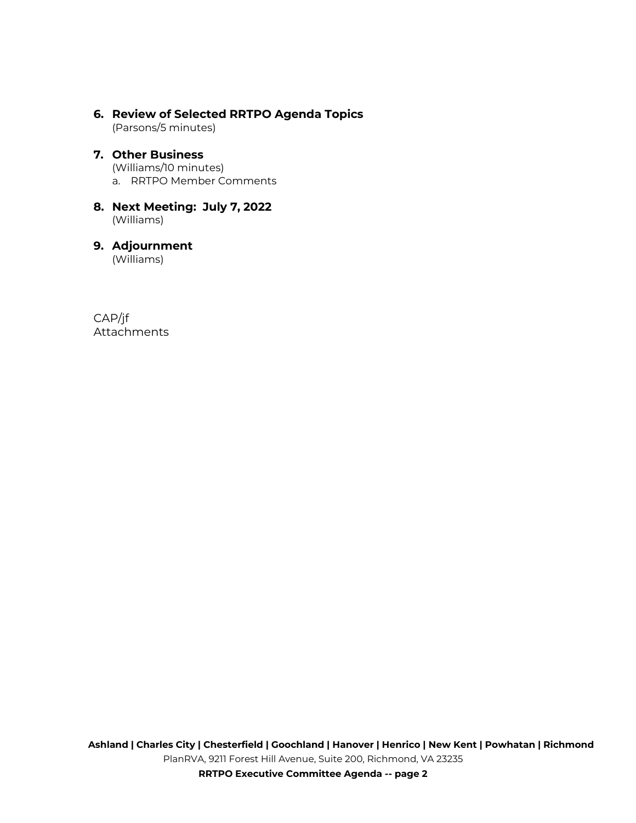**6. Review of Selected RRTPO Agenda Topics** (Parsons/5 minutes)

# **7. Other Business**

(Williams/10 minutes)

a. RRTPO Member Comments

#### **8. Next Meeting: July 7, 2022** (Williams)

# **9. Adjournment**

(Williams)

CAP/jf Attachments

**RRTPO Executive Committee Agenda -- page 2**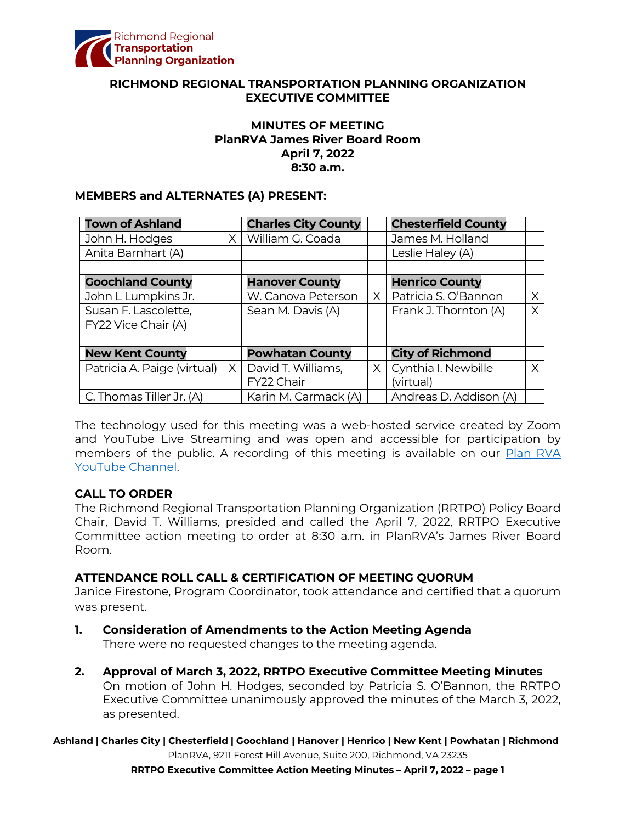

#### **RICHMOND REGIONAL TRANSPORTATION PLANNING ORGANIZATION EXECUTIVE COMMITTEE**

#### **MINUTES OF MEETING PlanRVA James River Board Room April 7, 2022 8:30 a.m.**

#### **MEMBERS and ALTERNATES (A) PRESENT:**

| <b>Town of Ashland</b>      |    | <b>Charles City County</b> |          | <b>Chesterfield County</b> |   |
|-----------------------------|----|----------------------------|----------|----------------------------|---|
| John H. Hodges              | X. | William G. Coada           |          | James M. Holland           |   |
| Anita Barnhart (A)          |    |                            |          | Leslie Haley (A)           |   |
|                             |    |                            |          |                            |   |
| <b>Goochland County</b>     |    | <b>Hanover County</b>      |          | <b>Henrico County</b>      |   |
| John L Lumpkins Jr.         |    | W. Canova Peterson         | $\times$ | Patricia S. O'Bannon       | X |
| Susan F. Lascolette,        |    | Sean M. Davis (A)          |          | Frank J. Thornton (A)      | X |
| FY22 Vice Chair (A)         |    |                            |          |                            |   |
|                             |    |                            |          |                            |   |
| <b>New Kent County</b>      |    | <b>Powhatan County</b>     |          | <b>City of Richmond</b>    |   |
| Patricia A. Paige (virtual) | X. | David T. Williams,         | X        | Cynthia I. Newbille        | X |
|                             |    | FY22 Chair                 |          | (virtual)                  |   |
| C. Thomas Tiller Jr. (A)    |    | Karin M. Carmack (A)       |          | Andreas D. Addison (A)     |   |

The technology used for this meeting was a web-hosted service created by Zoom and YouTube Live Streaming and was open and accessible for participation by members of the public. A recording of this meeting is available on our Plan RVA [YouTube Channel.](https://www.youtube.com/watch?v=z0QZVILjyig)

#### **CALL TO ORDER**

The Richmond Regional Transportation Planning Organization (RRTPO) Policy Board Chair, David T. Williams, presided and called the April 7, 2022, RRTPO Executive Committee action meeting to order at 8:30 a.m. in PlanRVA's James River Board Room.

#### **ATTENDANCE ROLL CALL & CERTIFICATION OF MEETING QUORUM**

Janice Firestone, Program Coordinator, took attendance and certified that a quorum was present.

- **1. Consideration of Amendments to the Action Meeting Agenda** There were no requested changes to the meeting agenda.
- **2. Approval of March 3, 2022, RRTPO Executive Committee Meeting Minutes** On motion of John H. Hodges, seconded by Patricia S. O'Bannon, the RRTPO Executive Committee unanimously approved the minutes of the March 3, 2022, as presented.

**Ashland | Charles City | Chesterfield | Goochland | Hanover | Henrico | New Kent | Powhatan | Richmond** PlanRVA, 9211 Forest Hill Avenue, Suite 200, Richmond, VA 23235

**RRTPO Executive Committee Action Meeting Minutes – April 7, 2022 – page 1**